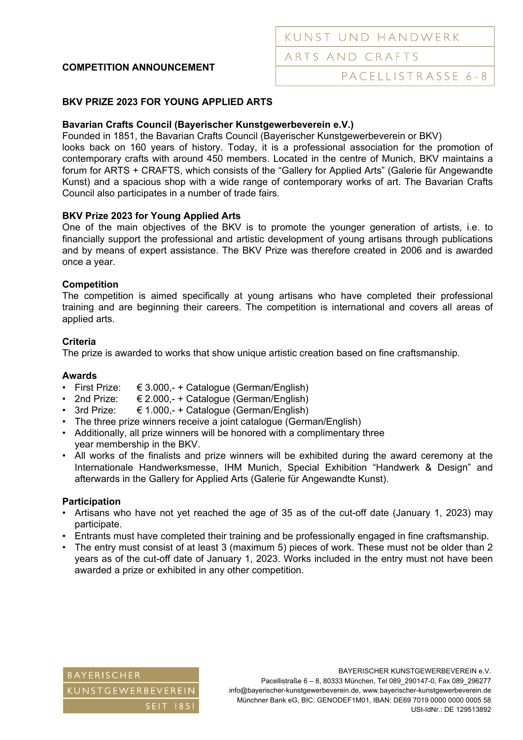# **COMPETITION ANNOUNCEMENT**

## **BKV PRIZE 2023 FOR YOUNG APPLIED ARTS**

### **Bavarian Crafts Council (Bayerischer Kunstgewerbeverein e.V.)**

Founded in 1851, the Bavarian Crafts Council (Bayerischer Kunstgewerbeverein or BKV) looks back on 160 years of history. Today, it is a professional association for the promotion of contemporary crafts with around 450 members. Located in the centre of Munich, BKV maintains a forum for ARTS + CRAFTS, which consists of the "Gallery for Applied Arts" (Galerie für Angewandte Kunst) and a spacious shop with a wide range of contemporary works of art. The Bavarian Crafts Council also participates in a number of trade fairs.

### **BKV Prize 2023 for Young Applied Arts**

One of the main objectives of the BKV is to promote the younger generation of artists, i.e. to financially support the professional and artistic development of young artisans through publications and by means of expert assistance. The BKV Prize was therefore created in 2006 and is awarded once a year.

### **Competition**

The competition is aimed specifically at young artisans who have completed their professional training and are beginning their careers. The competition is international and covers all areas of applied arts.

### **Criteria**

The prize is awarded to works that show unique artistic creation based on fine craftsmanship.

#### **Awards**

- First Prize:  $\epsilon$  3.000,- + Catalogue (German/English)
- 2nd Prize:  $€ 2.000,-+$  Catalogue (German/English)
- 3rd Prize:  $€ 1.000,-+$  Catalogue (German/English)
- The three prize winners receive a joint catalogue (German/English)
- Additionally, all prize winners will be honored with a complimentary three year membership in the BKV.
- All works of the finalists and prize winners will be exhibited during the award ceremony at the Internationale Handwerksmesse, IHM Munich, Special Exhibition "Handwerk & Design" and afterwards in the Gallery for Applied Arts (Galerie für Angewandte Kunst).

#### **Participation**

- Artisans who have not yet reached the age of 35 as of the cut-off date (January 1, 2023) may participate.
- Entrants must have completed their training and be professionally engaged in fine craftsmanship.
- The entry must consist of at least 3 (maximum 5) pieces of work. These must not be older than 2 years as of the cut-off date of January 1, 2023. Works included in the entry must not have been awarded a prize or exhibited in any other competition.



BAYERISCHER KUNSTGEWERBEVEREIN e.V. Pacellistraße 6 – 8, 80333 München, Tel 089\_290147-0, Fax 089\_296277 info@bayerischer-kunstgewerbeverein.de, www.bayerischer-kunstgewerbeverein.de Münchner Bank eG, BIC: GENODEF1M01, IBAN: DE69 7019 0000 0000 0005 58 USt-IdNr.: DE 129513892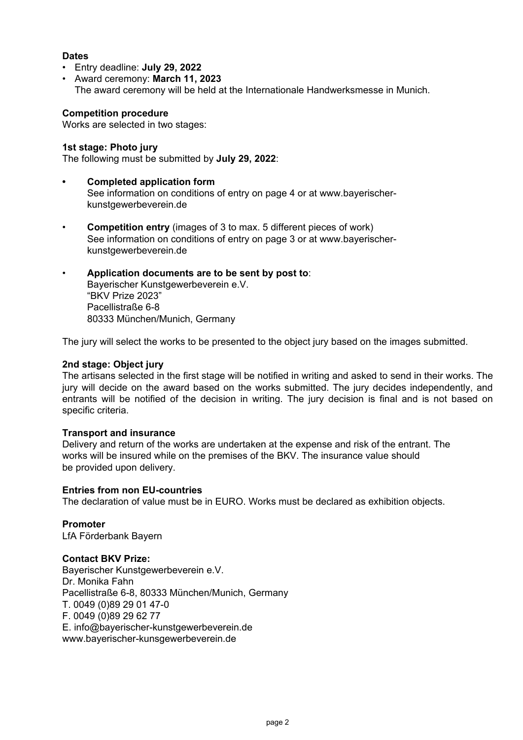## **Dates**

• Entry deadline: **July 29, 2022** 

• Award ceremony: **March 11, 2023** The award ceremony will be held at the Internationale Handwerksmesse in Munich.

## **Competition procedure**

Works are selected in two stages:

## **1st stage: Photo jury**

The following must be submitted by **July 29, 2022**:

- **Completed application form**  See information on conditions of entry on page 4 or at www.bayerischer kunstgewerbeverein.de
- **Competition entry** (images of 3 to max. 5 different pieces of work) See information on conditions of entry on page 3 or at www.bayerischer kunstgewerbeverein.de
- **Application documents are to be sent by post to**: Bayerischer Kunstgewerbeverein e.V. "BKV Prize 2023" Pacellistraße 6-8 80333 München/Munich, Germany

The jury will select the works to be presented to the object jury based on the images submitted.

### **2nd stage: Object jury**

The artisans selected in the first stage will be notified in writing and asked to send in their works. The jury will decide on the award based on the works submitted. The jury decides independently, and entrants will be notified of the decision in writing. The jury decision is final and is not based on specific criteria.

### **Transport and insurance**

Delivery and return of the works are undertaken at the expense and risk of the entrant. The works will be insured while on the premises of the BKV. The insurance value should be provided upon delivery.

### **Entries from non EU-countries**

The declaration of value must be in EURO. Works must be declared as exhibition objects.

**Promoter**  LfA Förderbank Bayern

### **Contact BKV Prize:**

Bayerischer Kunstgewerbeverein e.V. Dr. Monika Fahn Pacellistraße 6-8, 80333 München/Munich, Germany T. 0049 (0)89 29 01 47-0 F. 0049 (0)89 29 62 77 E. info@bayerischer-kunstgewerbeverein.de www.bayerischer-kunsgewerbeverein.de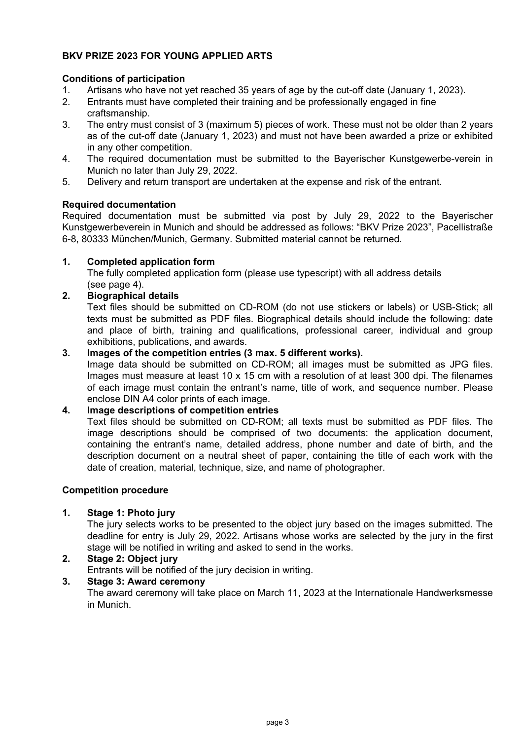# **BKV PRIZE 2023 FOR YOUNG APPLIED ARTS**

### **Conditions of participation**

- 1. Artisans who have not yet reached 35 years of age by the cut-off date (January 1, 2023).
- 2. Entrants must have completed their training and be professionally engaged in fine craftsmanship.
- 3. The entry must consist of 3 (maximum 5) pieces of work. These must not be older than 2 years as of the cut-off date (January 1, 2023) and must not have been awarded a prize or exhibited in any other competition.
- 4. The required documentation must be submitted to the Bayerischer Kunstgewerbe-verein in Munich no later than July 29, 2022.
- 5. Delivery and return transport are undertaken at the expense and risk of the entrant.

### **Required documentation**

Required documentation must be submitted via post by July 29, 2022 to the Bayerischer Kunstgewerbeverein in Munich and should be addressed as follows: "BKV Prize 2023", Pacellistraße 6-8, 80333 München/Munich, Germany. Submitted material cannot be returned.

### **1. Completed application form**

 The fully completed application form (please use typescript) with all address details (see page 4).

## **2. Biographical details**

Text files should be submitted on CD-ROM (do not use stickers or labels) or USB-Stick; all texts must be submitted as PDF files. Biographical details should include the following: date and place of birth, training and qualifications, professional career, individual and group exhibitions, publications, and awards.

### **3. Images of the competition entries (3 max. 5 different works).**

Image data should be submitted on CD-ROM; all images must be submitted as JPG files. Images must measure at least 10 x 15 cm with a resolution of at least 300 dpi. The filenames of each image must contain the entrant's name, title of work, and sequence number. Please enclose DIN A4 color prints of each image.

### **4. Image descriptions of competition entries**

Text files should be submitted on CD-ROM; all texts must be submitted as PDF files. The image descriptions should be comprised of two documents: the application document, containing the entrant's name, detailed address, phone number and date of birth, and the description document on a neutral sheet of paper, containing the title of each work with the date of creation, material, technique, size, and name of photographer.

### **Competition procedure**

### **1. Stage 1: Photo jury**

The jury selects works to be presented to the object jury based on the images submitted. The deadline for entry is July 29, 2022. Artisans whose works are selected by the jury in the first stage will be notified in writing and asked to send in the works.

# **2. Stage 2: Object jury**

Entrants will be notified of the jury decision in writing.

# **3. Stage 3: Award ceremony**

The award ceremony will take place on March 11, 2023 at the Internationale Handwerksmesse in Munich.